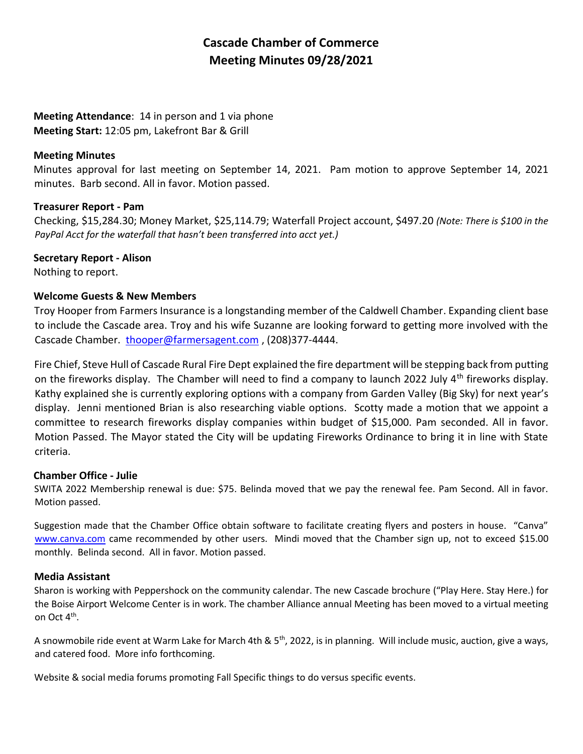# **Cascade Chamber of Commerce Meeting Minutes 09/28/2021**

## **Meeting Attendance**: 14 in person and 1 via phone **Meeting Start:** 12:05 pm, Lakefront Bar & Grill

## **Meeting Minutes**

Minutes approval for last meeting on September 14, 2021. Pam motion to approve September 14, 2021 minutes. Barb second. All in favor. Motion passed.

### **Treasurer Report - Pam**

Checking, \$15,284.30; Money Market, \$25,114.79; Waterfall Project account, \$497.20 *(Note: There is \$100 in the PayPal Acct for the waterfall that hasn't been transferred into acct yet.)*

### **Secretary Report - Alison**

Nothing to report.

## **Welcome Guests & New Members**

Troy Hooper from Farmers Insurance is a longstanding member of the Caldwell Chamber. Expanding client base to include the Cascade area. Troy and his wife Suzanne are looking forward to getting more involved with the Cascade Chamber. [thooper@farmersagent.com](mailto:thooper@farmersagent.com), (208)377-4444.

Fire Chief, Steve Hull of Cascade Rural Fire Dept explained the fire department will be stepping back from putting on the fireworks display. The Chamber will need to find a company to launch 2022 July  $4<sup>th</sup>$  fireworks display. Kathy explained she is currently exploring options with a company from Garden Valley (Big Sky) for next year's display. Jenni mentioned Brian is also researching viable options. Scotty made a motion that we appoint a committee to research fireworks display companies within budget of \$15,000. Pam seconded. All in favor. Motion Passed. The Mayor stated the City will be updating Fireworks Ordinance to bring it in line with State criteria.

#### **Chamber Office - Julie**

SWITA 2022 Membership renewal is due: \$75. Belinda moved that we pay the renewal fee. Pam Second. All in favor. Motion passed.

Suggestion made that the Chamber Office obtain software to facilitate creating flyers and posters in house. "Canva" [www.canva.com](http://www.canva.com/) came recommended by other users. Mindi moved that the Chamber sign up, not to exceed \$15.00 monthly. Belinda second. All in favor. Motion passed.

## **Media Assistant**

Sharon is working with Peppershock on the community calendar. The new Cascade brochure ("Play Here. Stay Here.) for the Boise Airport Welcome Center is in work. The chamber Alliance annual Meeting has been moved to a virtual meeting on Oct 4<sup>th</sup>.

A snowmobile ride event at Warm Lake for March 4th & 5<sup>th</sup>, 2022, is in planning. Will include music, auction, give a ways, and catered food. More info forthcoming.

Website & social media forums promoting Fall Specific things to do versus specific events.